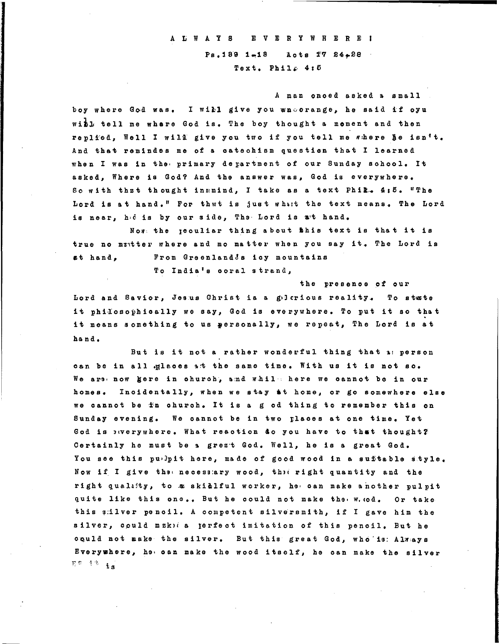## A L W A Y S E V E R Y W H E R E I Ps. 189 1-18 Acts T7 24-28 Text. Phile  $4:5$

A man onced asked a small boy where God was. I will give you wnorange, he said if oyu with tell me where God is. The boy thought a mement and then replied, Well I will give you two if you tell me where he isn't. And that remindes me of a catechism question that I learned when I was in the primary department of our Sunday sohool. It asked, Where is God? And the answer was, God is everywhere. So with thzt thought inmmind, I take as a text Phil. 4:5. "The Lord is at hand." For that is just what the text means. The Lord is near, hed is by our side, The Lord is at hand.

Now the geouliar thing about this text is that it is true no matter where and mo matter when you say it. The Lord is From Greenland's icy mountains at hand.

To India's coral strand,

the presence of our Lord and Savior, Jesus Christ ia a gelerious reality. To stute it philosophically we say, God is everywhere. To put it so that it means something to us gersonally, we repeat, The Lord is at hand.

But is it not a rather wonderful thing that a: person can be in all glaces at the same time. With us it is not so. We ars now gere in church, and while here we cannot be in our homes. Incidentally, when we stay at home, or go somewhere else we cannot be fn church. It is a g od thing to remember this on Sunday evening. We cannot be in two places at one time. Yet God is awerywhere. What reaction do you have to that thought? Certainly he must be a grezt God. Well, he is a great God. You see this pulpit here, made of good wood in a suftable style. Now if I give the necessary wood, the right quantity and the right quality, to a skidlful worker, he can make another pulpit quite like this one.. But he could not make the w. cod. Or take this silver pencil. A competent silversmith, if I gave him the silver, could makical perfect imitation of this pencil. But he oquid not make the silver. But this great God, who is Always Everywhere, he can make the wood itself, he can make the silver ne it is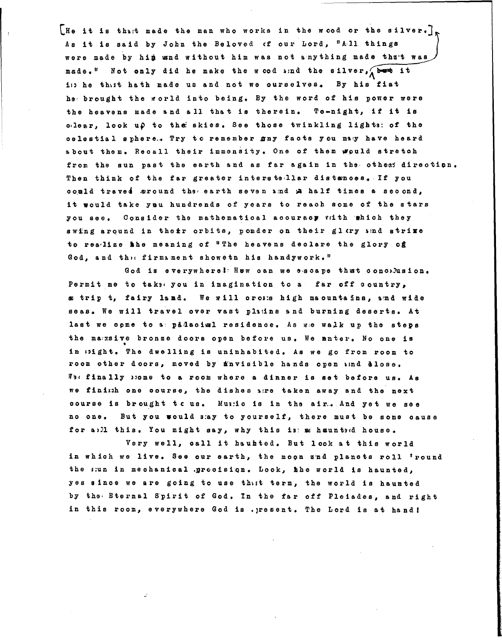[He it is thatt made the man who works in the wood or the silver.] As it is said by John the Beloved of our Lord, "All things were made by him wand without him was not anything made that was made." Not only did he make the wood and the silver, but it is he thist hath made us and not we ourselves. By his fiat he brought the world into being. By the word of his power were the heavens made and all that is therein. To-night, if it is clear. look up to the skies. See those twinkling lights: of the celestial sphere.. Try to remember any facts you may have heard about them. Recall their immensity. One of them would stretch from the sun past the earth and as far again in the othes: direction. Then think of the far greater interstsllar distances. If you oould traved sround the earth seven and a half times a second, it would take you hundrends of years to reach some of the stars you see. Consider the mathematical accuracy with which they swing around in their orbits, pomder on their glary and strime to rea-lize the meaning of "The heavens declare the glory of God, and the firmament showeth his handywork."

God is everywhere! Hew can we escape that concelusion. Permit me to take you in imagination to a far off country, x trip t, fairy land. We will oross high maountains, and wide seas. We will travel over vast platins and burning deserts. At last we come to a padaciml residence. As we walk up the steps the massive bronze doors open before us. We anter. No one is in sight. The dwelling is uninhabited. As we go from room to room other doors, moved by finvisible hands open wind dlose. We finally pome to a room where a dinner is set before us. As we finimh one course, the dishes are taken away and the next course is brought to us. Music is in the air. And yet we see no one. But you would say to yourself, there must be some cause for a)ll this. You might say, why this is a hauntrd house.

Very well, call it hauhted. But look at this world in which we live. See our earth, the moon znd planets roll 'round the sun in mechanical grecision. Look, hhe world is haunted, yes since we are going to use that term, the world is haunted by the Eternal Spirit of God. In the far off Pleiades, and right in this room, everywhere God is .present. The Lord is at hand!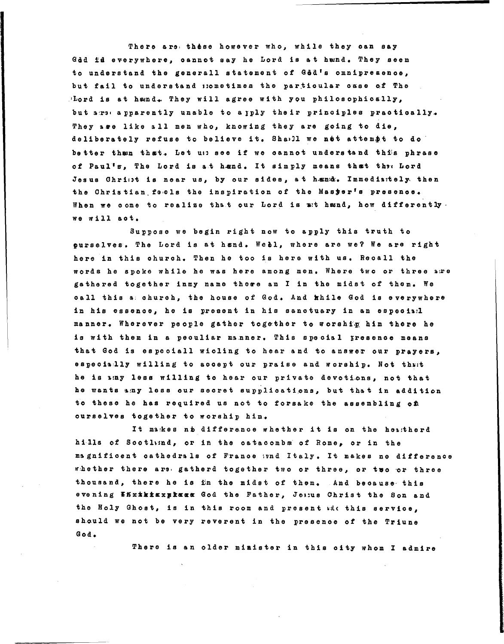There are these however who, while they can say God id everywhere, cannot say he Lord is at hund. They seem to understand the generall statement of God's omnipresence, but fail to understand mometimes the particular case of The Mord is at hand. They will agree with you philosophically, but are apparently unable to apply their principles practically. They age like all men who, knowing they are going to die, deliberately refuse to believe it. Shall we not attempt to do better than that. Let up see if we cannot understand this phrase of Paul's, The Lord is at hend. It simply means that the Lord Jesus Christ is near us, by our sides, at hænd. Inmediately then the Christian feels the inspiration of the Master's presence. When we come to realize that our Lord is at hand, how differently. we will act.

Suppose we begin right now to apply this truth to ourselves. The Lord is at hand. Webl, where are we? We are right here in this church. Then he too is here with us. Recall the words he spoke while he was here among men. Where two or three are gathered together inmy name these am I in the midst of them. We call this a church, the house of God. And while God is everywhere in his essence, he is present in his sanctuary in an especial manner. Wherever people gather together to worship him there he is with them in a peouliar manner. This special presence means that God is especiall wicling to hear and to answer our prayers, especially willing to accept our praise and worship. Not that he is any less willing to hear our private devotions, not that he wants amy less our secret supplications, but that in addition to these he has required us not to forsake the assembling of ourselves together to worship him.

It makes no difference whether it is on the heatherd hills of Scotlind, or in the catacombs of Rome, or in the magnificent cathedrals of France und Italy. It makes no difference whether there are gatherd together two or three, or two or three thousand, there he is in the midst of them. And because this evening Whxthisxplass God the Father, Jessus Christ the Son and the Holy Ghost, is in this room and present with this service, should we not be very reverent in the presence of the Triune God.

There is an older minister in this oity whom I admire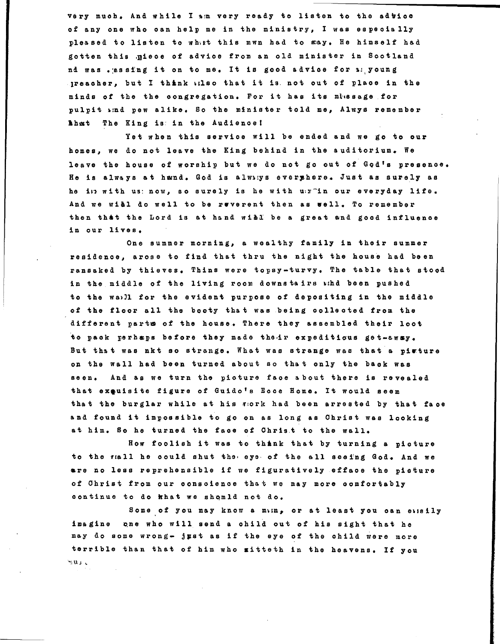very much. And while I am very ready to listen to the advice of any one who can help me in the ministry, I was especially pleased to listen to what this mwn had to say. He himself had gotten this .piece of advice from an old minister in Scotland nd was .assing it on to me. It is good advice for a young lreaoher, but 1 think Hlso that it is. not out of plaoe in the minds of the the congregation. For it has its missage for pulpit  $x:nd$  pew alike. So the minister told me, Alwys remember 'hat The King is in the Audienoel

Yet when this service will be ended and we go to our homes, we do not leave the King behind in the auditorium. We leave the house of worship but we do not go out of God's presence. He is always at hand. God is always every here. Just as surely as he in with us: now, so surely is he with u:x<sup>-</sup>in our everyday life. And we will do well to be ruverent then as well. To remember then that the Lord is at hand will be a great and good influence in our lives.

One summer morning, a wealthy family in their summer residence, arose to find that thru the night the house had been ransaked by thieves. Thins were topsy-turvy. The table that stood in the middle of the living room downstairs whd been pushed to the wa))! for the evident purpose of depositing in the middle of the floor all the booty that was being oolleoted from the different parts of the house. There they assembled their loot to pack perhaps before they made their expeditious get-eway. But that was nkt so strange. What was strange was that a picture on the wall had been turned about so that only the back was seen. And as we turn the pioture face about there is revealed that exeuisite figure of Guido's Eoce Home. It would seem that the burglar while at his work had been arrested by that face and found it impossible to go on as long as Ohrist was looking at him. So he turned the faoe of Ohris.t to the wall.

How foolish it was to think that by turning a pioture to the rall he could shut the eys of the all seeing God. And we are no less reprehensible if we figuratively effaoe the picture of Ohrist from our oonsoienoe that we may more oomfortably oontinue to do khat we shQmld not do.

Some of you may know a mun, or at least you can exisily imagine one who will send a child out of his sight that he may do some wrong- just as if the eye of the child were more terrible than that of him who mitteth in the heavens. If you  $\sim$  1 . J  $\sim$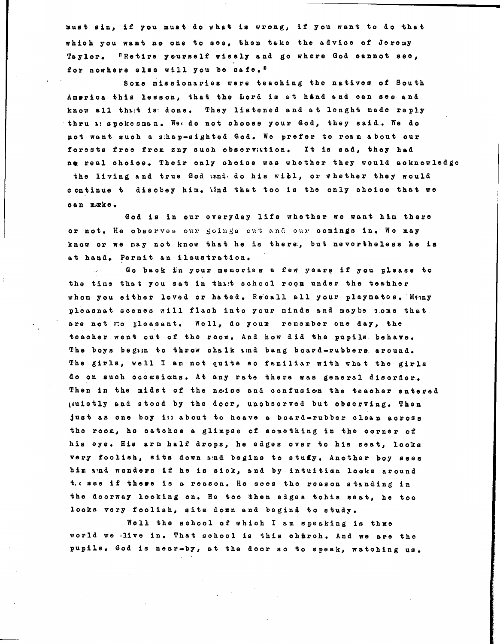must sin, if you must do what is wrong, if you want to do that whioh you want no one to see, then take the advioe of Jeremy Taylor. "Retire yourself wisely and go where God cannot see, for nowhere else will you be safe."

Some missionaries were teaohing the natives of South America this lesson, that the Lord is at hand and can see and know all thatt is: done. They listened and at lenght made reply thru &: spokesman. We do not ohoose your God, they said.. We do pot want suoh a s:hap-sighted God. We prefer to roam about our forests free from zny suoh observation. It is sad, they had ne real ohoice. Their only ohoice was whether they would acknowledge the living and true God and do his wibl, or whether they would o ontinue t disobey him. Und that too is the only ohoioe that we oan make.

God is in our everyday life whether we want him there or not. He observes our goings out and our comings in. We may know or we may not know that he is there, but nevertheless he is at hand. Permit an iloustration.

Go back in your memories a few years if you please to the time that you sat in that sohool roon under the teather whom you either loved or hated. Recall all your playmetes. Many pleasnat soenes will flash into your minds and maybe some that are not no Ileasant. Well, do youz remember one day, the teacher went out of the room. And how did the pupils, behave. The boys begin to throw chalk ind bang board-rubbers around. The girls, well I am not quite so familiar with what the girls do on such occasions. At any rate there was general disorder. Then in the midst of the noise and confusion the teacher entered ltuietly and stood by the door <sup>l</sup>unobserved but observing. Then just as one boy i: about to heave a board-rubber clean across the room, he oatohes a glimpse of something in the oorner of his eye. His arm half drops, he edges over to his seat, looks very foolish, sits down and begins to study. Another boy sees him and wonders if he is sick, and by intuition looks around t. ( see if there is a reason. He sees the reason standing in the doorway looking on. He too then edges tohis seat, he too looks very foolish, sits donn and begind to study.

Well the school of which I am speaking is thue world we live in. That sohool is this chirch. And we are the pupils. God is near-by, at the door so to speak, watohing us.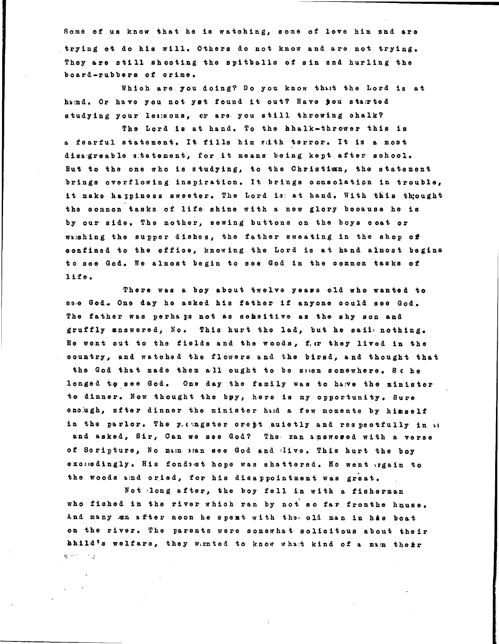Some of us know that he is watohing, some of love him snd are trying ot do his will. Others do not know and are not trying. They are still shooting the spitballs of sin snd hurling the board-rubbers of orime.

Whioh are you doing? Do you know thut the Lord is at haind. Or have you not yet found it out? Have jou stairted studying your les:sons, or are you still throwing ohalk?

The Lord is at hand. To the hhalk-thrower this is a fearful statement. It fills him with terror. It is a most disa.greable s:tatement, for it means being kept after school. But to the one who is studying, to the Ohristian, the statement brings overflowing inspiration. It brings oonsolation in trouble, it make happiness sweeter. The Lord is: at hand. With this thought the oommon tasks of life, shine with a new glory beoause he is by our side. The mother, sewing buttons on the boys ooat or washing the supper dishes, the father sweating in the shop of oonfined to the offioe, knowing the Lord is at hand almost begins to see God. We almost begin to see God in the common tasks of life.

There was a boy about twelve yeaes old who wanted to sa.e God. One day he asked his father if anyone could see God. The father was perha ps not as sensitive as the shy son and gruffly  $z$ nswered, No. This hurt the lad, but he sail nothing. He went out to the fields and the woods, f. er they lived in the oountry, and watohed the flowers and the birsd, and thought that the God that made them all ought to be shen somewhere. Sche longed to see God. One day the family was to haye the minister to dinner. Now thought the bpy, here is my opportunity. Sure enough, zfter dinner the minister had a few moments by himself in the parlor. The y, engster crept auietly and respectfully in \ i and asked, Sir, Can we see God? The man amswered with a verse of Soripture, No main bean see God and live. This hurt the boy exciedingly. His fondest hope was shattered. He went iggain to the woods and oried, for his disappointment was great.

Not long after, the boy fell in with a fisherman who fished in the river which ran by not so far from the house. And many  $x$ n after noon he spent with the old man in his boat on the river. The parents were somewhat solicitous about their hhild's welfare, they wiznted to know what kind of a main their  $8.75 - 1.3$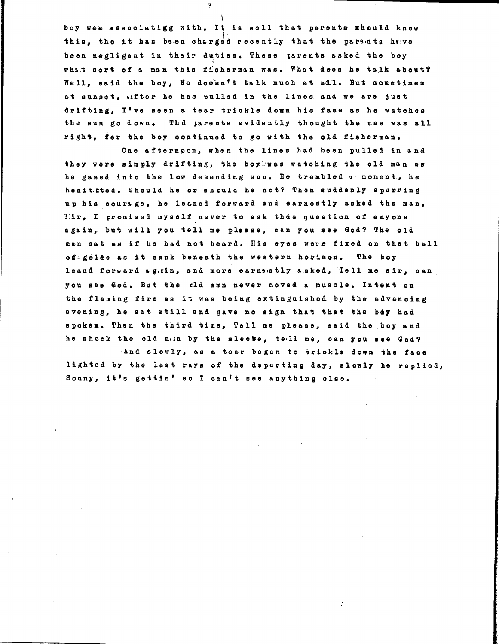boy waa assooiatigg with. It is well that parents should know this, tho it has been charged recently that the parents hylve been negligent in their duties. These larents asked the boy what sort of a man this fisherman was. What does he talk about? Well, said the boy, He doesn't talk much at ail. But sometimes at sunset, wifter he has pulled in the lines and we are just drifting, I've seen a tear triokle down his faoe as he watohes the sun go down. Thd parents evidently thought the mas was all right, for the boy oontinued to go with the old fisherman.

i

One afternoon, when the lines had been pulled in and they were simply drifting, the boyliwas watching the old man as he gazed into the low desending sun. He trembled a moment, he heeit.zted. Should he or s.hould he not? Then suddenly spurring up his courage, he leaned forward and earnestly asked the man, 3:1r, I promised myself never to ask this question of anYone again, but will you tell me please, oan you see God? The old man sat as if he had not heard. His eyes were fixed on that ball offgolde as it sank beneath the western horizon. The boy leand forward ag\zin, and more earne@stly asked, Tell me sir, oan you see God. But the cld amn never moved a musole. Intent on the flaming fire as it was being extinguished by the advanoing evening, he sat still and gave no sign that that the boy had spoken. Then the third time, Tell me please, said the boy and he shook the old min by the sleeve, tell me, oan you see God?

And slowly, as a tear began to triokle down the faoe lighted by the last rays of the departing day, slowly he replied, Sonny, it's gettin' so I oan't see anything else.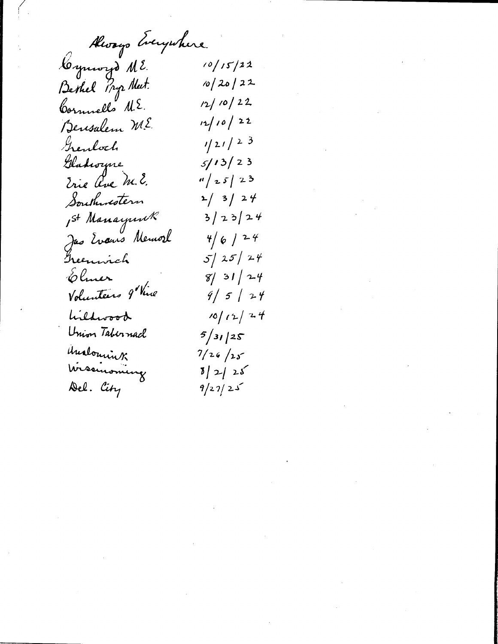Always Everywhere.

Cymru d M2.  $10/15/22$  $10/20/22$ Berkel Pryz Neet.  $12/10/22$ Cornnells ME.  $12/10/22$ Bensalem ME  $1/21/23$ Grendoch  $5/13/23$ Gladwyne Trie ave M.E.  $\frac{n}{2}$   $5/23$  $2/3/24$ Southwestern  $3/23/24$ 1st Manayunk Jas Evans Memore  $4/6/24$  $5/25/24$ Treenwich  $8/31/24$ Elmer Volunteers 9 Vive  $9/5/24$  $10/12/24$ Lildwood Union Tabernacl  $5/31/25$ Unalousink  $7/26/25$ Wissinsming  $5/2/25$ Del. City  $9/27/25$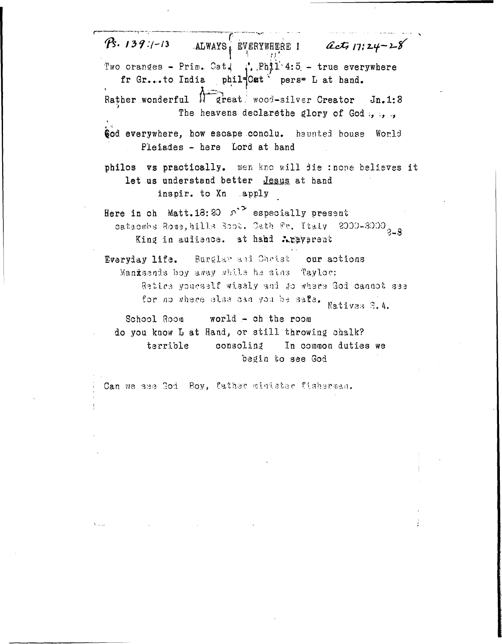$P\cdot 139:1-13$  $act_1$ 17:24-28 ALWAYS, EVERYWHERE I Two oranges - Prim. Cat. :. Phil 4:5 - true everywhere fr Gr...to India phil=Cat pers= L at hand. Rather wonderful M great wood-silver Creator  $Jn.1:3$ The heavens declare the glory of God ... God everywhere, how escape conclu. haunted house World Pleiades - here Lord at hand philos vs practically. men kno will die : none believes it let us understand better Jesus at hand inspir. to Xn apply Here in ch Matt. 18: 20  $\Omega$ <sup>2</sup> especially present cataomhs Rome, hills Soot. Oath Fr. Italy 2000-3000<sub>2-3</sub> King in aulience. at hand Arayprent Everyday life. Burglar and Christ our actions Manxsends boy away while he sins Taylor: Retice youcself wisely and go where God cannot see for no where else can you be safe. Natives S.A. School Room world  $-$  ch the room do you know L at Hand, or still throwing chalk? terrible consoling In common duties we begin to see God Can we see God Boy, father minister fisherman.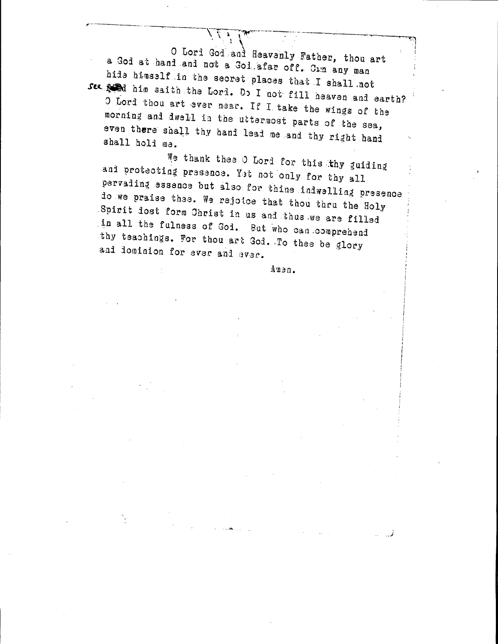O Lord God and Heavenly Father, thou art a God at hand and not a God afar off. Cam any man hide himself in the secret places that I shall not See and him saith the Lord. Do I not fill heaven and earth? O Lord thou art ever near. If I take the wings of the morning and dwell in the uttermost parts of the sea, even there shall thy hand lead me and thy right hand shall hold me.

We thank thee O Lord for this thy guiding and protecting presence. Yet not only for thy all pervading essence but also for thine indwelling presence do we praise thee. We rejoice that thou thru the Holy Spirit dost form Christ in us and thus we are filled in all the fulness of Goi. But who can comprehend thy teachings. For thou art God. To thee be glory and dominion for ever and ever.

Anen.